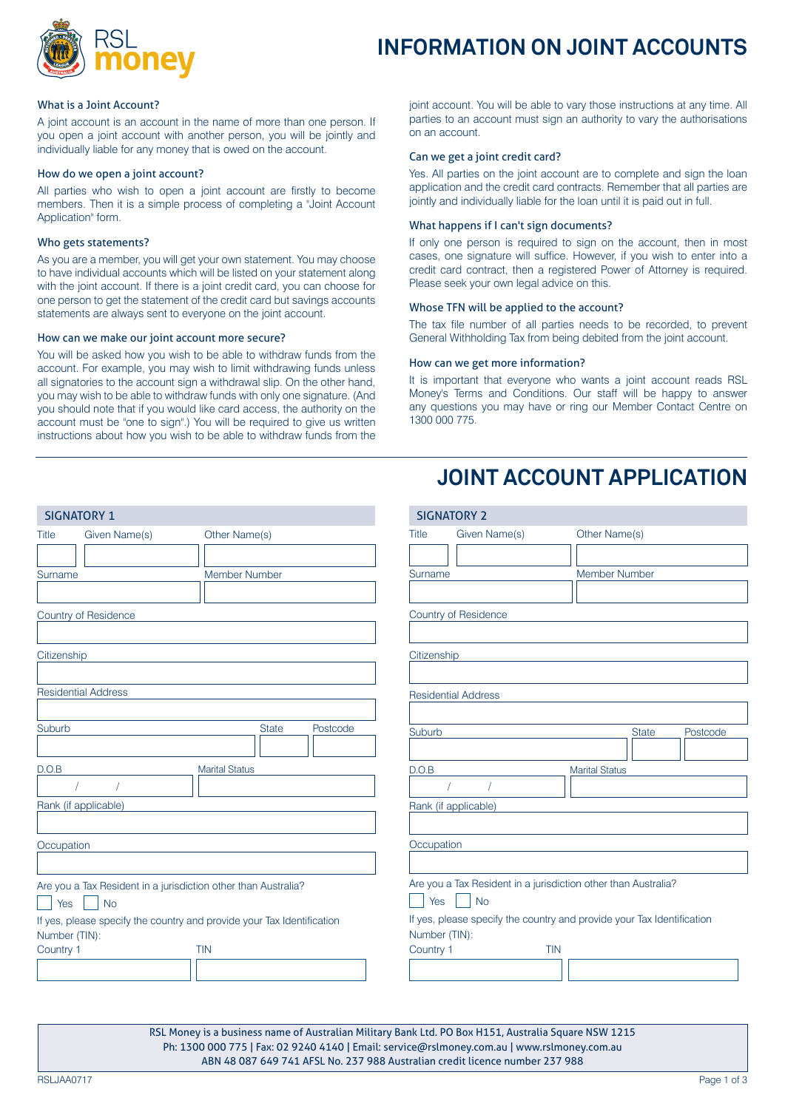

# **INFORMATION ON JOINT ACCOUNTS**

#### What is a Joint Account?

A joint account is an account in the name of more than one person. If you open a joint account with another person, you will be jointly and individually liable for any money that is owed on the account.

#### How do we open a joint account?

All parties who wish to open a joint account are firstly to become members. Then it is a simple process of completing a "Joint Account Application" form.

#### Who gets statements?

As you are a member, you will get your own statement. You may choose to have individual accounts which will be listed on your statement along with the joint account. If there is a joint credit card, you can choose for one person to get the statement of the credit card but savings accounts statements are always sent to everyone on the joint account.

# How can we make our joint account more secure?

You will be asked how you wish to be able to withdraw funds from the account. For example, you may wish to limit withdrawing funds unless all signatories to the account sign a withdrawal slip. On the other hand, you may wish to be able to withdraw funds with only one signature. (And you should note that if you would like card access, the authority on the account must be "one to sign".) You will be required to give us written instructions about how you wish to be able to withdraw funds from the

joint account. You will be able to vary those instructions at any time. All parties to an account must sign an authority to vary the authorisations on an account.

#### Can we get a joint credit card?

Yes. All parties on the joint account are to complete and sign the loan application and the credit card contracts. Remember that all parties are jointly and individually liable for the loan until it is paid out in full.

# What happens if I can't sign documents?

If only one person is required to sign on the account, then in most cases, one signature will suffice. However, if you wish to enter into a credit card contract, then a registered Power of Attorney is required. Please seek your own legal advice on this.

# Whose TFN will be applied to the account?

The tax file number of all parties needs to be recorded, to prevent General Withholding Tax from being debited from the joint account.

#### How can we get more information?

It is important that everyone who wants a joint account reads RSL Money's Terms and Conditions. Our staff will be happy to answer any questions you may have or ring our Member Contact Centre on 1300 000 775.

# **JOINT ACCOUNT APPLICATION**

| <b>SIGNATORY 1</b>                                                                      | <b>SIGNATORY 2</b>                                                                      |
|-----------------------------------------------------------------------------------------|-----------------------------------------------------------------------------------------|
| Other Name(s)<br>Given Name(s)<br><b>Title</b>                                          | Given Name(s)<br>Other Name(s)<br>Title                                                 |
|                                                                                         |                                                                                         |
| Member Number<br>Surname                                                                | <b>Member Number</b><br>Surname                                                         |
|                                                                                         |                                                                                         |
| Country of Residence                                                                    | Country of Residence                                                                    |
|                                                                                         |                                                                                         |
| Citizenship                                                                             | Citizenship                                                                             |
|                                                                                         |                                                                                         |
| <b>Residential Address</b>                                                              | <b>Residential Address</b>                                                              |
| Suburb<br><b>State</b><br>Postcode                                                      |                                                                                         |
|                                                                                         | Suburb<br><b>State</b><br>Postcode                                                      |
| D.O.B<br><b>Marital Status</b>                                                          | D.O.B<br><b>Marital Status</b>                                                          |
|                                                                                         |                                                                                         |
| Rank (if applicable)                                                                    | Rank (if applicable)                                                                    |
|                                                                                         |                                                                                         |
| Occupation                                                                              | Occupation                                                                              |
|                                                                                         |                                                                                         |
| Are you a Tax Resident in a jurisdiction other than Australia?                          | Are you a Tax Resident in a jurisdiction other than Australia?                          |
| Yes<br><b>No</b>                                                                        | Yes<br><b>No</b>                                                                        |
| If yes, please specify the country and provide your Tax Identification<br>Number (TIN): | If yes, please specify the country and provide your Tax Identification<br>Number (TIN): |
| Country 1<br><b>TIN</b>                                                                 | Country 1<br><b>TIN</b>                                                                 |
|                                                                                         |                                                                                         |

RSL Money is a business name of Australian Military Bank Ltd. PO Box H151, Australia Square NSW 1215 Ph: 1300 000 775 | Fax: 02 9240 4140 | Email: service@rslmoney.com.au | www.rslmoney.com.au ABN 48 087 649 741 AFSL No. 237 988 Australian credit licence number 237 988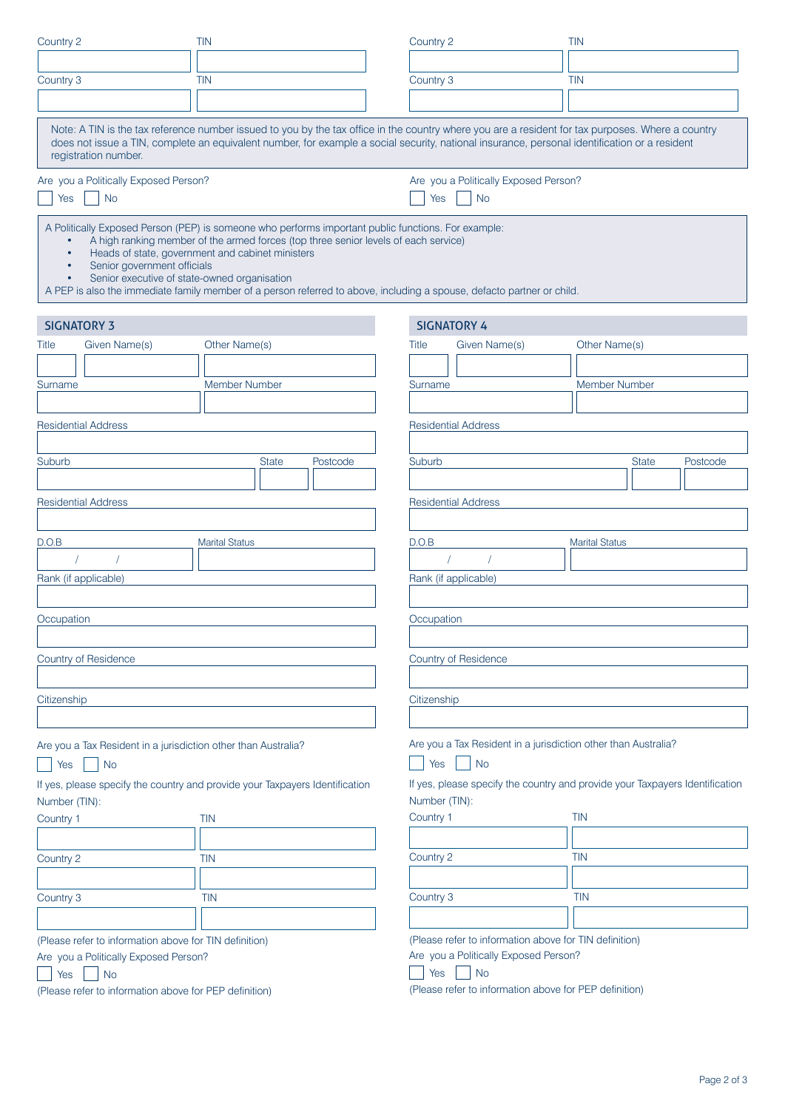| Country 2                                                                                                                                                                     | <b>TIN</b>                                                                                                                                                                                                                                                                                                                                                               | Country 2                                                 | <b>TIN</b>                                                                                                                                                                                                                                                                                         |  |  |  |
|-------------------------------------------------------------------------------------------------------------------------------------------------------------------------------|--------------------------------------------------------------------------------------------------------------------------------------------------------------------------------------------------------------------------------------------------------------------------------------------------------------------------------------------------------------------------|-----------------------------------------------------------|----------------------------------------------------------------------------------------------------------------------------------------------------------------------------------------------------------------------------------------------------------------------------------------------------|--|--|--|
|                                                                                                                                                                               |                                                                                                                                                                                                                                                                                                                                                                          |                                                           |                                                                                                                                                                                                                                                                                                    |  |  |  |
| Country 3                                                                                                                                                                     | <b>TIN</b>                                                                                                                                                                                                                                                                                                                                                               | Country 3                                                 | <b>TIN</b>                                                                                                                                                                                                                                                                                         |  |  |  |
|                                                                                                                                                                               |                                                                                                                                                                                                                                                                                                                                                                          |                                                           |                                                                                                                                                                                                                                                                                                    |  |  |  |
| registration number.                                                                                                                                                          |                                                                                                                                                                                                                                                                                                                                                                          |                                                           | Note: A TIN is the tax reference number issued to you by the tax office in the country where you are a resident for tax purposes. Where a country<br>does not issue a TIN, complete an equivalent number, for example a social security, national insurance, personal identification or a resident |  |  |  |
| Are you a Politically Exposed Person?                                                                                                                                         |                                                                                                                                                                                                                                                                                                                                                                          | Are you a Politically Exposed Person?                     |                                                                                                                                                                                                                                                                                                    |  |  |  |
| <b>No</b><br>Yes                                                                                                                                                              |                                                                                                                                                                                                                                                                                                                                                                          | <b>No</b><br>Yes                                          |                                                                                                                                                                                                                                                                                                    |  |  |  |
| Senior government officials<br>Senior executive of state-owned organisation<br>$\bullet$                                                                                      | A Politically Exposed Person (PEP) is someone who performs important public functions. For example:<br>A high ranking member of the armed forces (top three senior levels of each service)<br>Heads of state, government and cabinet ministers<br>A PEP is also the immediate family member of a person referred to above, including a spouse, defacto partner or child. |                                                           |                                                                                                                                                                                                                                                                                                    |  |  |  |
| <b>SIGNATORY 3</b>                                                                                                                                                            |                                                                                                                                                                                                                                                                                                                                                                          | <b>SIGNATORY 4</b>                                        |                                                                                                                                                                                                                                                                                                    |  |  |  |
| Given Name(s)<br><b>Title</b>                                                                                                                                                 | Other Name(s)                                                                                                                                                                                                                                                                                                                                                            | <b>Title</b><br>Given Name(s)                             | Other Name(s)                                                                                                                                                                                                                                                                                      |  |  |  |
|                                                                                                                                                                               |                                                                                                                                                                                                                                                                                                                                                                          |                                                           |                                                                                                                                                                                                                                                                                                    |  |  |  |
| Surname                                                                                                                                                                       | <b>Member Number</b>                                                                                                                                                                                                                                                                                                                                                     | Surname                                                   | <b>Member Number</b>                                                                                                                                                                                                                                                                               |  |  |  |
|                                                                                                                                                                               |                                                                                                                                                                                                                                                                                                                                                                          |                                                           |                                                                                                                                                                                                                                                                                                    |  |  |  |
| <b>Residential Address</b>                                                                                                                                                    |                                                                                                                                                                                                                                                                                                                                                                          | <b>Residential Address</b>                                |                                                                                                                                                                                                                                                                                                    |  |  |  |
|                                                                                                                                                                               |                                                                                                                                                                                                                                                                                                                                                                          |                                                           |                                                                                                                                                                                                                                                                                                    |  |  |  |
| Suburb                                                                                                                                                                        | <b>State</b><br>Postcode                                                                                                                                                                                                                                                                                                                                                 | Suburb                                                    | <b>State</b><br>Postcode                                                                                                                                                                                                                                                                           |  |  |  |
| <b>Residential Address</b>                                                                                                                                                    |                                                                                                                                                                                                                                                                                                                                                                          |                                                           |                                                                                                                                                                                                                                                                                                    |  |  |  |
|                                                                                                                                                                               |                                                                                                                                                                                                                                                                                                                                                                          |                                                           | <b>Residential Address</b>                                                                                                                                                                                                                                                                         |  |  |  |
| D.O.B                                                                                                                                                                         | <b>Marital Status</b>                                                                                                                                                                                                                                                                                                                                                    | D.O.B                                                     | <b>Marital Status</b>                                                                                                                                                                                                                                                                              |  |  |  |
|                                                                                                                                                                               |                                                                                                                                                                                                                                                                                                                                                                          |                                                           |                                                                                                                                                                                                                                                                                                    |  |  |  |
| Rank (if applicable)                                                                                                                                                          |                                                                                                                                                                                                                                                                                                                                                                          | Rank (if applicable)                                      |                                                                                                                                                                                                                                                                                                    |  |  |  |
|                                                                                                                                                                               |                                                                                                                                                                                                                                                                                                                                                                          |                                                           |                                                                                                                                                                                                                                                                                                    |  |  |  |
| Occupation                                                                                                                                                                    |                                                                                                                                                                                                                                                                                                                                                                          | Occupation                                                |                                                                                                                                                                                                                                                                                                    |  |  |  |
|                                                                                                                                                                               |                                                                                                                                                                                                                                                                                                                                                                          |                                                           |                                                                                                                                                                                                                                                                                                    |  |  |  |
| <b>Country of Residence</b>                                                                                                                                                   |                                                                                                                                                                                                                                                                                                                                                                          | Country of Residence                                      |                                                                                                                                                                                                                                                                                                    |  |  |  |
|                                                                                                                                                                               |                                                                                                                                                                                                                                                                                                                                                                          |                                                           |                                                                                                                                                                                                                                                                                                    |  |  |  |
| Citizenship                                                                                                                                                                   |                                                                                                                                                                                                                                                                                                                                                                          | Citizenship                                               |                                                                                                                                                                                                                                                                                                    |  |  |  |
|                                                                                                                                                                               |                                                                                                                                                                                                                                                                                                                                                                          |                                                           |                                                                                                                                                                                                                                                                                                    |  |  |  |
| Are you a Tax Resident in a jurisdiction other than Australia?<br><b>No</b><br>Yes                                                                                            |                                                                                                                                                                                                                                                                                                                                                                          | Yes<br><b>No</b>                                          | Are you a Tax Resident in a jurisdiction other than Australia?                                                                                                                                                                                                                                     |  |  |  |
| Number (TIN):                                                                                                                                                                 | If yes, please specify the country and provide your Taxpayers Identification                                                                                                                                                                                                                                                                                             | Number (TIN):                                             | If yes, please specify the country and provide your Taxpayers Identification                                                                                                                                                                                                                       |  |  |  |
| Country 1<br><b>TIN</b>                                                                                                                                                       |                                                                                                                                                                                                                                                                                                                                                                          | Country 1                                                 | <b>TIN</b>                                                                                                                                                                                                                                                                                         |  |  |  |
|                                                                                                                                                                               |                                                                                                                                                                                                                                                                                                                                                                          |                                                           |                                                                                                                                                                                                                                                                                                    |  |  |  |
| Country 2                                                                                                                                                                     | <b>TIN</b>                                                                                                                                                                                                                                                                                                                                                               | Country 2                                                 | <b>TIN</b>                                                                                                                                                                                                                                                                                         |  |  |  |
|                                                                                                                                                                               |                                                                                                                                                                                                                                                                                                                                                                          |                                                           |                                                                                                                                                                                                                                                                                                    |  |  |  |
| Country 3                                                                                                                                                                     | <b>TIN</b>                                                                                                                                                                                                                                                                                                                                                               | Country 3                                                 | <b>TIN</b>                                                                                                                                                                                                                                                                                         |  |  |  |
|                                                                                                                                                                               |                                                                                                                                                                                                                                                                                                                                                                          |                                                           |                                                                                                                                                                                                                                                                                                    |  |  |  |
| (Please refer to information above for TIN definition)<br>Are you a Politically Exposed Person?<br><b>No</b><br>Yes<br>(Please refer to information above for PEP definition) |                                                                                                                                                                                                                                                                                                                                                                          | Are you a Politically Exposed Person?<br><b>No</b><br>Yes | (Please refer to information above for TIN definition)<br>(Please refer to information above for PEP definition)                                                                                                                                                                                   |  |  |  |